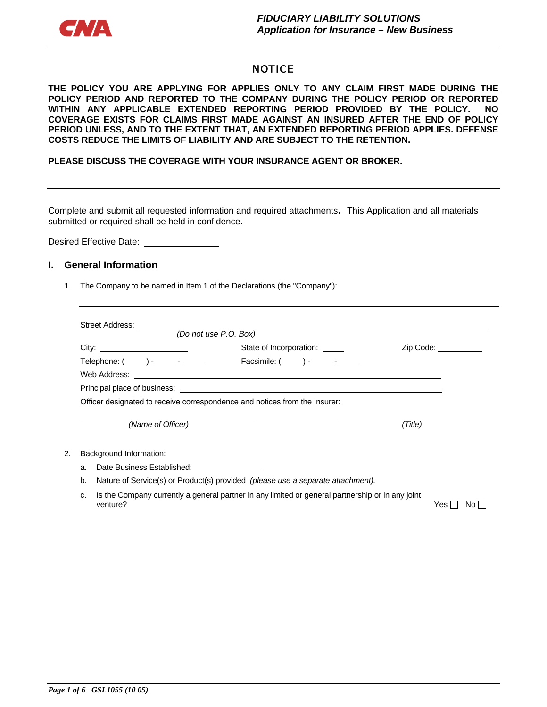

#### **NOTICE**

**THE POLICY YOU ARE APPLYING FOR APPLIES ONLY TO ANY CLAIM FIRST MADE DURING THE POLICY PERIOD AND REPORTED TO THE COMPANY DURING THE POLICY PERIOD OR REPORTED WITHIN ANY APPLICABLE EXTENDED REPORTING PERIOD PROVIDED BY THE POLICY. NO COVERAGE EXISTS FOR CLAIMS FIRST MADE AGAINST AN INSURED AFTER THE END OF POLICY PERIOD UNLESS, AND TO THE EXTENT THAT, AN EXTENDED REPORTING PERIOD APPLIES. DEFENSE COSTS REDUCE THE LIMITS OF LIABILITY AND ARE SUBJECT TO THE RETENTION.** 

**PLEASE DISCUSS THE COVERAGE WITH YOUR INSURANCE AGENT OR BROKER.** 

Complete and submit all requested information and required attachments**.** This Application and all materials submitted or required shall be held in confidence.

Desired Effective Date:

#### **I. General Information**

1. The Company to be named in Item 1 of the Declarations (the "Company"):

|                                         | (Do not use P.O. Box)                                                      |                      |
|-----------------------------------------|----------------------------------------------------------------------------|----------------------|
| Telephone: $(\_\_\_\$ - ______ - ______ | State of Incorporation: ______<br>Facsimile: ( ) - -                       | Zip Code: __________ |
|                                         | Officer designated to receive correspondence and notices from the Insurer: |                      |
| (Name of Officer)                       |                                                                            | (Title)              |
| Rackaround Information:                 |                                                                            |                      |

- 2. Background Information:
	- a. Date Business Established:
	- b. Nature of Service(s) or Product(s) provided *(please use a separate attachment).*
	- c. Is the Company currently a general partner in any limited or general partnership or in any joint venture?  $Y$ es  $\Box$  No  $\Box$

*Page 1 of 6 GSL1055 (10 05)*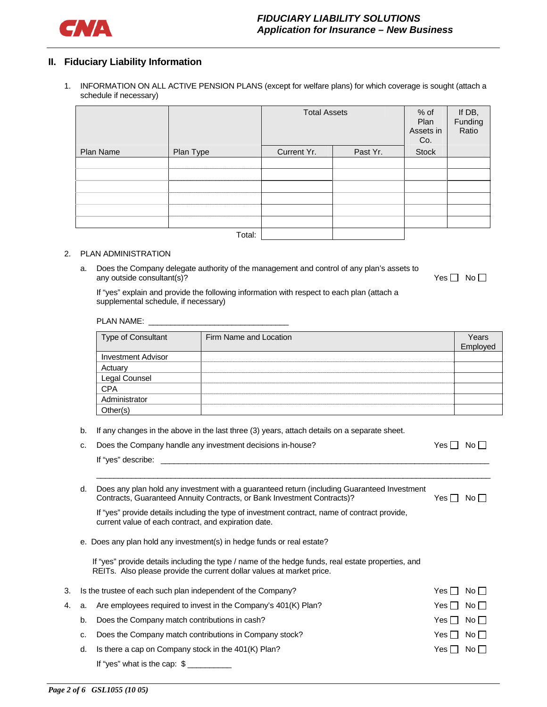

#### **II. Fiduciary Liability Information**

1. INFORMATION ON ALL ACTIVE PENSION PLANS (except for welfare plans) for which coverage is sought (attach a schedule if necessary)

|           |           | <b>Total Assets</b> |          | $%$ of<br>Plan<br>Assets in<br>Co. | If DB,<br>Funding<br>Ratio |
|-----------|-----------|---------------------|----------|------------------------------------|----------------------------|
| Plan Name | Plan Type | Current Yr.         | Past Yr. | <b>Stock</b>                       |                            |
|           |           |                     |          |                                    |                            |
|           |           |                     |          |                                    |                            |
|           |           |                     |          |                                    |                            |
|           |           |                     |          |                                    |                            |
|           |           |                     |          |                                    |                            |
|           |           |                     |          |                                    |                            |
|           | Total:    |                     |          |                                    |                            |

#### 2. PLAN ADMINISTRATION

a. Does the Company delegate authority of the management and control of any plan's assets to any outside consultant(s)?  $Yes \Box \text{No } \Box$ 

If "yes" explain and provide the following information with respect to each plan (attach a supplemental schedule, if necessary)

| <b>Type of Consultant</b> | Firm Name and Location | Years<br>Employed |
|---------------------------|------------------------|-------------------|
| <b>Investment Advisor</b> |                        |                   |
| Actuary                   |                        |                   |
| Legal Counsel             |                        |                   |
| <b>CPA</b>                |                        |                   |
| Administrator             |                        |                   |
| Other(s)                  |                        |                   |

\_\_\_\_\_\_\_\_\_\_\_\_\_\_\_\_\_\_\_\_\_\_\_\_\_\_\_\_\_\_\_\_\_\_\_\_\_\_\_\_\_\_\_\_\_\_\_\_\_\_\_\_\_\_\_\_\_\_\_\_\_\_\_\_\_\_\_\_\_\_\_\_\_\_\_\_\_\_\_\_\_\_\_\_\_\_\_\_\_\_

- b. If any changes in the above in the last three (3) years, attach details on a separate sheet.
- c. Does the Company handle any investment decisions in-house?  $\blacksquare$  Yes  $\blacksquare$  No  $\blacksquare$

If "yes" describe: \_

d. Does any plan hold any investment with a guaranteed return (including Guaranteed Investment Contracts, Guaranteed Annuity Contracts, or Bank Investment Contracts)?  $Yes \Box No \Box$ 

If "yes" provide details including the type of investment contract, name of contract provide, current value of each contract, and expiration date.

e. Does any plan hold any investment(s) in hedge funds or real estate?

If "yes" provide details including the type / name of the hedge funds, real estate properties, and REITs. Also please provide the current dollar values at market price.

| 3. | Is the trustee of each such plan independent of the Company?<br>Yes II |                                                                      |                      | No II |
|----|------------------------------------------------------------------------|----------------------------------------------------------------------|----------------------|-------|
|    |                                                                        | 4. a. Are employees required to invest in the Company's 401(K) Plan? | Yes I No I I         |       |
|    | b.                                                                     | Does the Company match contributions in cash?                        | Yes $\Box$ No $\Box$ |       |
|    | c.                                                                     | Does the Company match contributions in Company stock?               | $Yes \Box No \Box$   |       |
|    | d.                                                                     | Is there a cap on Company stock in the 401(K) Plan?                  | Yesll Noll           |       |
|    |                                                                        | If "yes" what is the cap: $\frac{1}{2}$                              |                      |       |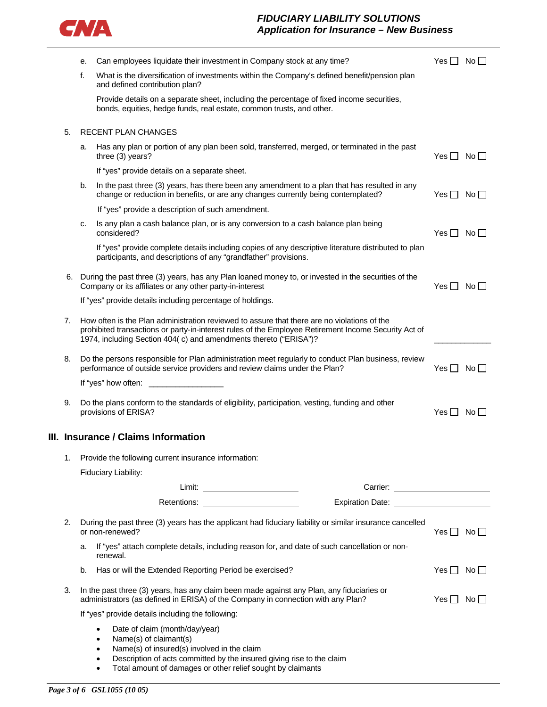

### *FIDUCIARY LIABILITY SOLUTIONS Application for Insurance – New Business*

|                                                                                                                                                                                                                                                                               | е. | Can employees liquidate their investment in Company stock at any time?                                                                                                                                                                                                                                           | Yes     No           |                    |
|-------------------------------------------------------------------------------------------------------------------------------------------------------------------------------------------------------------------------------------------------------------------------------|----|------------------------------------------------------------------------------------------------------------------------------------------------------------------------------------------------------------------------------------------------------------------------------------------------------------------|----------------------|--------------------|
|                                                                                                                                                                                                                                                                               | f. | What is the diversification of investments within the Company's defined benefit/pension plan<br>and defined contribution plan?                                                                                                                                                                                   |                      |                    |
|                                                                                                                                                                                                                                                                               |    | Provide details on a separate sheet, including the percentage of fixed income securities,<br>bonds, equities, hedge funds, real estate, common trusts, and other.                                                                                                                                                |                      |                    |
| 5.                                                                                                                                                                                                                                                                            |    | RECENT PLAN CHANGES                                                                                                                                                                                                                                                                                              |                      |                    |
|                                                                                                                                                                                                                                                                               | a. | Has any plan or portion of any plan been sold, transferred, merged, or terminated in the past<br>three (3) years?                                                                                                                                                                                                | Yes $\Box$ No $\Box$ |                    |
|                                                                                                                                                                                                                                                                               |    | If "yes" provide details on a separate sheet.                                                                                                                                                                                                                                                                    |                      |                    |
|                                                                                                                                                                                                                                                                               | b. | In the past three (3) years, has there been any amendment to a plan that has resulted in any<br>change or reduction in benefits, or are any changes currently being contemplated?                                                                                                                                | $Yes \Box No \Box$   |                    |
|                                                                                                                                                                                                                                                                               |    | If "yes" provide a description of such amendment.                                                                                                                                                                                                                                                                |                      |                    |
|                                                                                                                                                                                                                                                                               | c. | Is any plan a cash balance plan, or is any conversion to a cash balance plan being<br>considered?                                                                                                                                                                                                                | Yes I I              | $No \Box$          |
|                                                                                                                                                                                                                                                                               |    | If "yes" provide complete details including copies of any descriptive literature distributed to plan<br>participants, and descriptions of any "grandfather" provisions.                                                                                                                                          |                      |                    |
|                                                                                                                                                                                                                                                                               |    | 6. During the past three (3) years, has any Plan loaned money to, or invested in the securities of the<br>Company or its affiliates or any other party-in-interest                                                                                                                                               | Yes                  | No II              |
|                                                                                                                                                                                                                                                                               |    | If "yes" provide details including percentage of holdings.                                                                                                                                                                                                                                                       |                      |                    |
| 7.<br>How often is the Plan administration reviewed to assure that there are no violations of the<br>prohibited transactions or party-in-interest rules of the Employee Retirement Income Security Act of<br>1974, including Section 404(c) and amendments thereto ("ERISA")? |    |                                                                                                                                                                                                                                                                                                                  |                      |                    |
| Do the persons responsible for Plan administration meet regularly to conduct Plan business, review<br>8.<br>performance of outside service providers and review claims under the Plan?                                                                                        |    |                                                                                                                                                                                                                                                                                                                  |                      | $Yes \mid No \mid$ |
| If "yes" how often:                                                                                                                                                                                                                                                           |    |                                                                                                                                                                                                                                                                                                                  |                      |                    |
| 9.                                                                                                                                                                                                                                                                            |    | Do the plans conform to the standards of eligibility, participation, vesting, funding and other<br>provisions of ERISA?                                                                                                                                                                                          | $Yes \mid No \mid$   |                    |
| III. Insurance / Claims Information                                                                                                                                                                                                                                           |    |                                                                                                                                                                                                                                                                                                                  |                      |                    |
| 1.                                                                                                                                                                                                                                                                            |    | Provide the following current insurance information:                                                                                                                                                                                                                                                             |                      |                    |
|                                                                                                                                                                                                                                                                               |    | Fiduciary Liability:                                                                                                                                                                                                                                                                                             |                      |                    |
|                                                                                                                                                                                                                                                                               |    |                                                                                                                                                                                                                                                                                                                  |                      |                    |
|                                                                                                                                                                                                                                                                               |    | Expiration Date: Expiration Date:<br>Retentions:                                                                                                                                                                                                                                                                 |                      |                    |
| 2.                                                                                                                                                                                                                                                                            |    | During the past three (3) years has the applicant had fiduciary liability or similar insurance cancelled<br>or non-renewed?                                                                                                                                                                                      | Yes $\Box$ No $\Box$ |                    |
|                                                                                                                                                                                                                                                                               | a. | If "yes" attach complete details, including reason for, and date of such cancellation or non-<br>renewal.                                                                                                                                                                                                        |                      |                    |
| b.<br>Has or will the Extended Reporting Period be exercised?                                                                                                                                                                                                                 |    | Yes $\Box$                                                                                                                                                                                                                                                                                                       | $No \Box$            |                    |
| In the past three (3) years, has any claim been made against any Plan, any fiduciaries or<br>3.<br>administrators (as defined in ERISA) of the Company in connection with any Plan?                                                                                           |    | Yes $\Box$ No $\Box$                                                                                                                                                                                                                                                                                             |                      |                    |
|                                                                                                                                                                                                                                                                               |    | If "yes" provide details including the following:                                                                                                                                                                                                                                                                |                      |                    |
|                                                                                                                                                                                                                                                                               |    | Date of claim (month/day/year)<br>$\bullet$<br>Name(s) of claimant(s)<br>$\bullet$<br>Name(s) of insured(s) involved in the claim<br>$\bullet$<br>Description of acts committed by the insured giving rise to the claim<br>$\bullet$<br>Total amount of damages or other relief sought by claimants<br>$\bullet$ |                      |                    |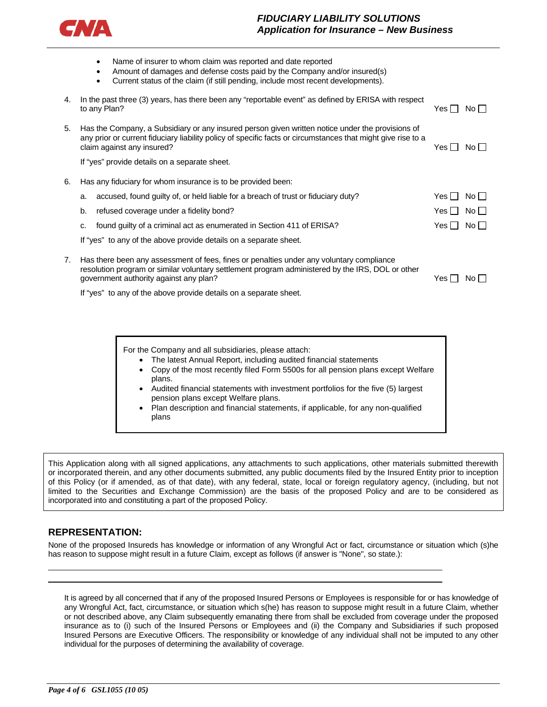

#### *FIDUCIARY LIABILITY SOLUTIONS Application for Insurance – New Business*

|    | Name of insurer to whom claim was reported and date reported<br>$\bullet$<br>Amount of damages and defense costs paid by the Company and/or insured(s)<br>$\bullet$<br>Current status of the claim (if still pending, include most recent developments).<br>$\bullet$ |            |                 |
|----|-----------------------------------------------------------------------------------------------------------------------------------------------------------------------------------------------------------------------------------------------------------------------|------------|-----------------|
| 4. | In the past three (3) years, has there been any "reportable event" as defined by ERISA with respect<br>to any Plan?                                                                                                                                                   | Yes III    | No              |
| 5. | Has the Company, a Subsidiary or any insured person given written notice under the provisions of<br>any prior or current fiduciary liability policy of specific facts or circumstances that might give rise to a<br>claim against any insured?                        | Yes        | No II           |
|    | If "yes" provide details on a separate sheet.                                                                                                                                                                                                                         |            |                 |
| 6. | Has any fiduciary for whom insurance is to be provided been:                                                                                                                                                                                                          |            |                 |
|    | accused, found guilty of, or held liable for a breach of trust or fiduciary duty?<br>a.                                                                                                                                                                               | Yes        | $No \Box$       |
|    | refused coverage under a fidelity bond?<br>b.                                                                                                                                                                                                                         | Yes II     | No II           |
|    | found guilty of a criminal act as enumerated in Section 411 of ERISA?<br>c.                                                                                                                                                                                           | Yes $\Box$ | No <sub>1</sub> |
|    | If "yes" to any of the above provide details on a separate sheet.                                                                                                                                                                                                     |            |                 |
| 7. | Has there been any assessment of fees, fines or penalties under any voluntary compliance<br>resolution program or similar voluntary settlement program administered by the IRS, DOL or other<br>government authority against any plan?                                | Yes I ⊺    | No              |
|    | If "yes" to any of the above provide details on a separate sheet.                                                                                                                                                                                                     |            |                 |

For the Company and all subsidiaries, please attach:

- The latest Annual Report, including audited financial statements
	- Copy of the most recently filed Form 5500s for all pension plans except Welfare plans.
	- Audited financial statements with investment portfolios for the five (5) largest pension plans except Welfare plans.
- Plan description and financial statements, if applicable, for any non-qualified plans

This Application along with all signed applications, any attachments to such applications, other materials submitted therewith or incorporated therein, and any other documents submitted, any public documents filed by the Insured Entity prior to inception of this Policy (or if amended, as of that date), with any federal, state, local or foreign regulatory agency, (including, but not limited to the Securities and Exchange Commission) are the basis of the proposed Policy and are to be considered as incorporated into and constituting a part of the proposed Policy.

#### **REPRESENTATION:**

 $\overline{a}$ 

None of the proposed Insureds has knowledge or information of any Wrongful Act or fact, circumstance or situation which (s)he has reason to suppose might result in a future Claim, except as follows (if answer is "None", so state.):

It is agreed by all concerned that if any of the proposed Insured Persons or Employees is responsible for or has knowledge of any Wrongful Act, fact, circumstance, or situation which s(he) has reason to suppose might result in a future Claim, whether or not described above, any Claim subsequently emanating there from shall be excluded from coverage under the proposed insurance as to (i) such of the Insured Persons or Employees and (ii) the Company and Subsidiaries if such proposed Insured Persons are Executive Officers. The responsibility or knowledge of any individual shall not be imputed to any other individual for the purposes of determining the availability of coverage.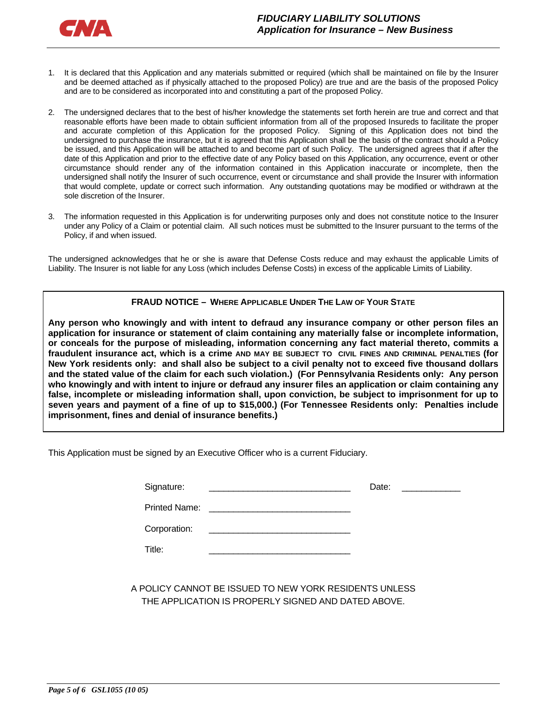

- 1. It is declared that this Application and any materials submitted or required (which shall be maintained on file by the Insurer and be deemed attached as if physically attached to the proposed Policy) are true and are the basis of the proposed Policy and are to be considered as incorporated into and constituting a part of the proposed Policy.
- 2. The undersigned declares that to the best of his/her knowledge the statements set forth herein are true and correct and that reasonable efforts have been made to obtain sufficient information from all of the proposed Insureds to facilitate the proper and accurate completion of this Application for the proposed Policy. Signing of this Application does not bind the undersigned to purchase the insurance, but it is agreed that this Application shall be the basis of the contract should a Policy be issued, and this Application will be attached to and become part of such Policy. The undersigned agrees that if after the date of this Application and prior to the effective date of any Policy based on this Application, any occurrence, event or other circumstance should render any of the information contained in this Application inaccurate or incomplete, then the undersigned shall notify the Insurer of such occurrence, event or circumstance and shall provide the Insurer with information that would complete, update or correct such information. Any outstanding quotations may be modified or withdrawn at the sole discretion of the Insurer.
- 3. The information requested in this Application is for underwriting purposes only and does not constitute notice to the Insurer under any Policy of a Claim or potential claim. All such notices must be submitted to the Insurer pursuant to the terms of the Policy, if and when issued.

The undersigned acknowledges that he or she is aware that Defense Costs reduce and may exhaust the applicable Limits of Liability. The Insurer is not liable for any Loss (which includes Defense Costs) in excess of the applicable Limits of Liability.

#### **FRAUD NOTICE – WHERE APPLICABLE UNDER THE LAW OF YOUR STATE**

**Any person who knowingly and with intent to defraud any insurance company or other person files an application for insurance or statement of claim containing any materially false or incomplete information, or conceals for the purpose of misleading, information concerning any fact material thereto, commits a fraudulent insurance act, which is a crime AND MAY BE SUBJECT TO CIVIL FINES AND CRIMINAL PENALTIES (for New York residents only: and shall also be subject to a civil penalty not to exceed five thousand dollars and the stated value of the claim for each such violation.) (For Pennsylvania Residents only: Any person who knowingly and with intent to injure or defraud any insurer files an application or claim containing any false, incomplete or misleading information shall, upon conviction, be subject to imprisonment for up to seven years and payment of a fine of up to \$15,000.) (For Tennessee Residents only: Penalties include imprisonment, fines and denial of insurance benefits.)** 

This Application must be signed by an Executive Officer who is a current Fiduciary.

| Signature:           |                                             | Date: | <u> 1989 - Jan Barbara Barat III (</u> |
|----------------------|---------------------------------------------|-------|----------------------------------------|
| <b>Printed Name:</b> |                                             |       |                                        |
| Corporation:         | <u> 1980 - Jan Samuel Barbara, martin d</u> |       |                                        |
| Title:               |                                             |       |                                        |

A POLICY CANNOT BE ISSUED TO NEW YORK RESIDENTS UNLESS THE APPLICATION IS PROPERLY SIGNED AND DATED ABOVE.